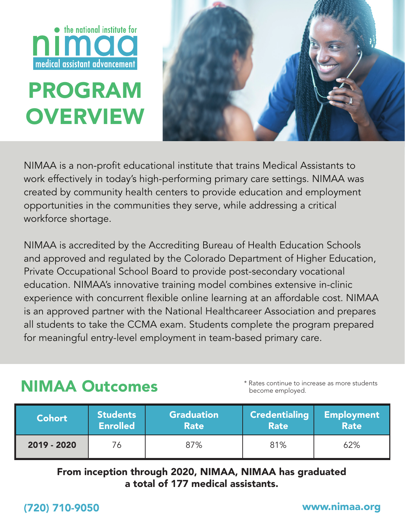

# PROGRAM **OVERVIEW**



NIMAA is a non-profit educational institute that trains Medical Assistants to work effectively in today's high-performing primary care settings. NIMAA was created by community health centers to provide education and employment opportunities in the communities they serve, while addressing a critical workforce shortage.

NIMAA is accredited by the Accrediting Bureau of Health Education Schools and approved and regulated by the Colorado Department of Higher Education, Private Occupational School Board to provide post-secondary vocational education. NIMAA's innovative training model combines extensive in-clinic experience with concurrent flexible online learning at an affordable cost. NIMAA is an approved partner with the National Healthcareer Association and prepares all students to take the CCMA exam. Students complete the program prepared for meaningful entry-level employment in team-based primary care.

## NIMAA Outcomes

\* Rates continue to increase as more students become employed.

| <b>Cohort</b> | <b>Students</b> | <b>Graduation</b> | <b>Credentialing</b> | <b>Employment</b> |
|---------------|-----------------|-------------------|----------------------|-------------------|
|               | <b>Enrolled</b> | <b>Rate</b>       | <b>Rate</b>          | <b>Rate</b>       |
| 2019 - 2020   | 76              | 87%               | 81%                  | 62%               |

### From inception through 2020, NIMAA, NIMAA has graduated a total of 177 medical assistants.

### (720) 710-9050 www.nimaa.org